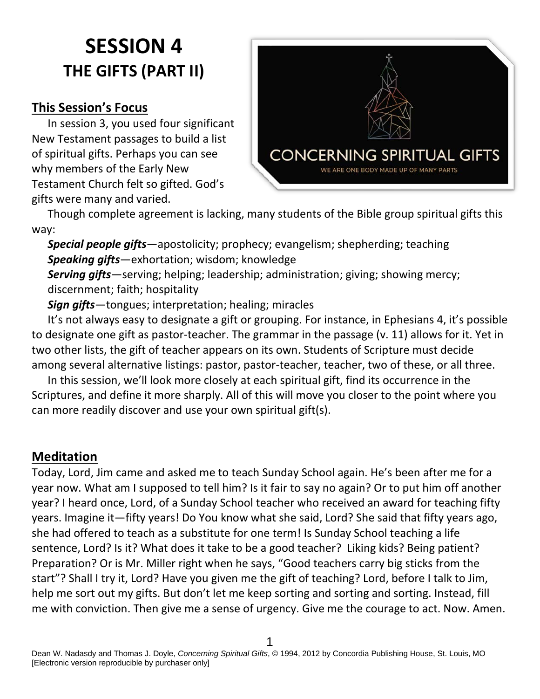# **SESSION 4 THE GIFTS (PART II)**

#### **This Session's Focus**

In session 3, you used four significant New Testament passages to build a list of spiritual gifts. Perhaps you can see why members of the Early New Testament Church felt so gifted. God's gifts were many and varied.



Though complete agreement is lacking, many students of the Bible group spiritual gifts this way:

*Special people gifts*—apostolicity; prophecy; evangelism; shepherding; teaching *Speaking gifts*—exhortation; wisdom; knowledge

*Serving gifts*—serving; helping; leadership; administration; giving; showing mercy; discernment; faith; hospitality

*Sign gifts*—tongues; interpretation; healing; miracles

It's not always easy to designate a gift or grouping. For instance, in Ephesians 4, it's possible to designate one gift as pastor-teacher. The grammar in the passage (v. 11) allows for it. Yet in two other lists, the gift of teacher appears on its own. Students of Scripture must decide among several alternative listings: pastor, pastor-teacher, teacher, two of these, or all three.

In this session, we'll look more closely at each spiritual gift, find its occurrence in the Scriptures, and define it more sharply. All of this will move you closer to the point where you can more readily discover and use your own spiritual gift(s).

#### **Meditation**

Today, Lord, Jim came and asked me to teach Sunday School again. He's been after me for a year now. What am I supposed to tell him? Is it fair to say no again? Or to put him off another year? I heard once, Lord, of a Sunday School teacher who received an award for teaching fifty years. Imagine it—fifty years! Do You know what she said, Lord? She said that fifty years ago, she had offered to teach as a substitute for one term! Is Sunday School teaching a life sentence, Lord? Is it? What does it take to be a good teacher? Liking kids? Being patient? Preparation? Or is Mr. Miller right when he says, "Good teachers carry big sticks from the start"? Shall I try it, Lord? Have you given me the gift of teaching? Lord, before I talk to Jim, help me sort out my gifts. But don't let me keep sorting and sorting and sorting. Instead, fill me with conviction. Then give me a sense of urgency. Give me the courage to act. Now. Amen.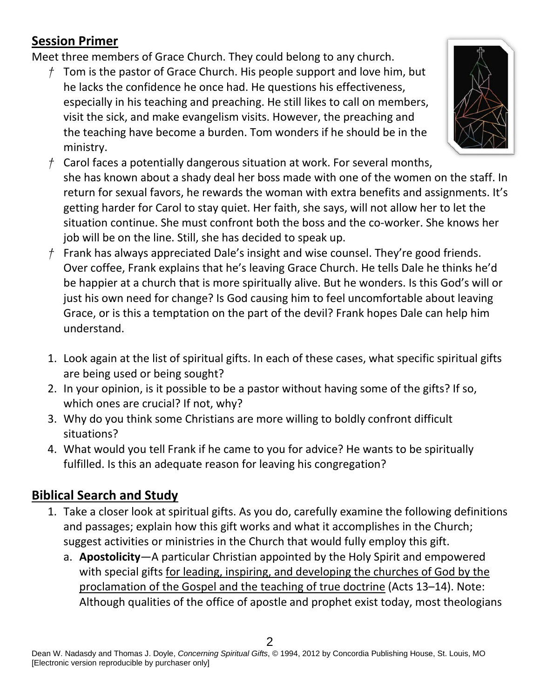# **Session Primer**

Meet three members of Grace Church. They could belong to any church.

*†* Tom is the pastor of Grace Church. His people support and love him, but he lacks the confidence he once had. He questions his effectiveness, especially in his teaching and preaching. He still likes to call on members, visit the sick, and make evangelism visits. However, the preaching and the teaching have become a burden. Tom wonders if he should be in the ministry.



- *†* Carol faces a potentially dangerous situation at work. For several months, she has known about a shady deal her boss made with one of the women on the staff. In return for sexual favors, he rewards the woman with extra benefits and assignments. It's getting harder for Carol to stay quiet. Her faith, she says, will not allow her to let the situation continue. She must confront both the boss and the co-worker. She knows her job will be on the line. Still, she has decided to speak up.
- *†* Frank has always appreciated Dale's insight and wise counsel. They're good friends. Over coffee, Frank explains that he's leaving Grace Church. He tells Dale he thinks he'd be happier at a church that is more spiritually alive. But he wonders. Is this God's will or just his own need for change? Is God causing him to feel uncomfortable about leaving Grace, or is this a temptation on the part of the devil? Frank hopes Dale can help him understand.
- 1. Look again at the list of spiritual gifts. In each of these cases, what specific spiritual gifts are being used or being sought?
- 2. In your opinion, is it possible to be a pastor without having some of the gifts? If so, which ones are crucial? If not, why?
- 3. Why do you think some Christians are more willing to boldly confront difficult situations?
- 4. What would you tell Frank if he came to you for advice? He wants to be spiritually fulfilled. Is this an adequate reason for leaving his congregation?

# **Biblical Search and Study**

- 1. Take a closer look at spiritual gifts. As you do, carefully examine the following definitions and passages; explain how this gift works and what it accomplishes in the Church; suggest activities or ministries in the Church that would fully employ this gift.
	- a. **Apostolicity**—A particular Christian appointed by the Holy Spirit and empowered with special gifts for leading, inspiring, and developing the churches of God by the proclamation of the Gospel and the teaching of true doctrine (Acts 13–14). Note: Although qualities of the office of apostle and prophet exist today, most theologians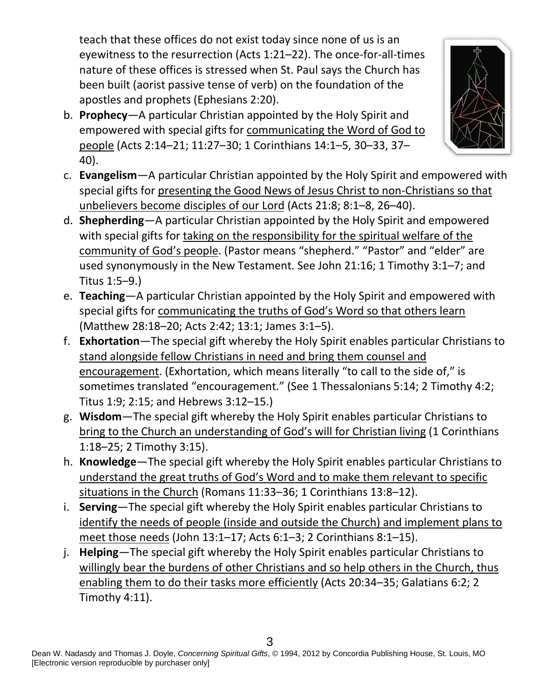teach that these offices do not exist today since none of us is an eyewitness to the resurrection (Acts 1:21–22). The once-for-all-times nature of these offices is stressed when St. Paul says the Church has been built (aorist passive tense of verb) on the foundation of the apostles and prophets (Ephesians 2:20).

- b. **Prophecy**—A particular Christian appointed by the Holy Spirit and empowered with special gifts for communicating the Word of God to people (Acts 2:14–21; 11:27–30; 1 Corinthians 14:1–5, 30–33, 37– 40).
- c. **Evangelism**—A particular Christian appointed by the Holy Spirit and empowered with special gifts for presenting the Good News of Jesus Christ to non-Christians so that unbelievers become disciples of our Lord (Acts 21:8; 8:1–8, 26–40).
- d. **Shepherding**—A particular Christian appointed by the Holy Spirit and empowered with special gifts for taking on the responsibility for the spiritual welfare of the community of God's people. (Pastor means "shepherd." "Pastor" and "elder" are used synonymously in the New Testament. See John 21:16; 1 Timothy 3:1–7; and Titus 1:5–9.)
- e. **Teaching**—A particular Christian appointed by the Holy Spirit and empowered with special gifts for communicating the truths of God's Word so that others learn (Matthew 28:18–20; Acts 2:42; 13:1; James 3:1–5).
- f. **Exhortation**—The special gift whereby the Holy Spirit enables particular Christians to stand alongside fellow Christians in need and bring them counsel and encouragement. (Exhortation, which means literally "to call to the side of," is sometimes translated "encouragement." (See 1 Thessalonians 5:14; 2 Timothy 4:2; Titus 1:9; 2:15; and Hebrews 3:12–15.)
- g. **Wisdom**—The special gift whereby the Holy Spirit enables particular Christians to bring to the Church an understanding of God's will for Christian living (1 Corinthians 1:18–25; 2 Timothy 3:15).
- h. **Knowledge**—The special gift whereby the Holy Spirit enables particular Christians to understand the great truths of God's Word and to make them relevant to specific situations in the Church (Romans 11:33–36; 1 Corinthians 13:8–12).
- i. **Serving**—The special gift whereby the Holy Spirit enables particular Christians to identify the needs of people (inside and outside the Church) and implement plans to meet those needs (John 13:1–17; Acts 6:1–3; 2 Corinthians 8:1–15).
- j. **Helping**—The special gift whereby the Holy Spirit enables particular Christians to willingly bear the burdens of other Christians and so help others in the Church, thus enabling them to do their tasks more efficiently (Acts 20:34–35; Galatians 6:2; 2 Timothy 4:11).

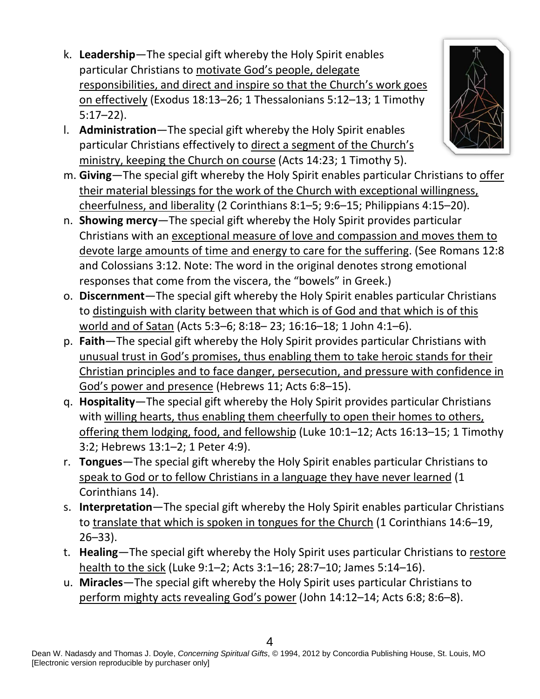- k. **Leadership**—The special gift whereby the Holy Spirit enables particular Christians to motivate God's people, delegate responsibilities, and direct and inspire so that the Church's work goes on effectively (Exodus 18:13–26; 1 Thessalonians 5:12–13; 1 Timothy 5:17–22).
- l. **Administration**—The special gift whereby the Holy Spirit enables particular Christians effectively to direct a segment of the Church's ministry, keeping the Church on course (Acts 14:23; 1 Timothy 5).
- m. **Giving**—The special gift whereby the Holy Spirit enables particular Christians to offer their material blessings for the work of the Church with exceptional willingness, cheerfulness, and liberality (2 Corinthians 8:1–5; 9:6–15; Philippians 4:15–20).
- n. **Showing mercy**—The special gift whereby the Holy Spirit provides particular Christians with an exceptional measure of love and compassion and moves them to devote large amounts of time and energy to care for the suffering. (See Romans 12:8 and Colossians 3:12. Note: The word in the original denotes strong emotional responses that come from the viscera, the "bowels" in Greek.)
- o. **Discernment**—The special gift whereby the Holy Spirit enables particular Christians to distinguish with clarity between that which is of God and that which is of this world and of Satan (Acts 5:3–6; 8:18– 23; 16:16–18; 1 John 4:1–6).
- p. **Faith**—The special gift whereby the Holy Spirit provides particular Christians with unusual trust in God's promises, thus enabling them to take heroic stands for their Christian principles and to face danger, persecution, and pressure with confidence in God's power and presence (Hebrews 11; Acts 6:8–15).
- q. **Hospitality**—The special gift whereby the Holy Spirit provides particular Christians with willing hearts, thus enabling them cheerfully to open their homes to others, offering them lodging, food, and fellowship (Luke 10:1–12; Acts 16:13–15; 1 Timothy 3:2; Hebrews 13:1–2; 1 Peter 4:9).
- r. **Tongues**—The special gift whereby the Holy Spirit enables particular Christians to speak to God or to fellow Christians in a language they have never learned (1 Corinthians 14).
- s. **Interpretation**—The special gift whereby the Holy Spirit enables particular Christians to translate that which is spoken in tongues for the Church (1 Corinthians 14:6–19, 26–33).
- t. **Healing**—The special gift whereby the Holy Spirit uses particular Christians to restore health to the sick (Luke 9:1–2; Acts 3:1–16; 28:7–10; James 5:14–16).
- u. **Miracles**—The special gift whereby the Holy Spirit uses particular Christians to perform mighty acts revealing God's power (John 14:12–14; Acts 6:8; 8:6–8).